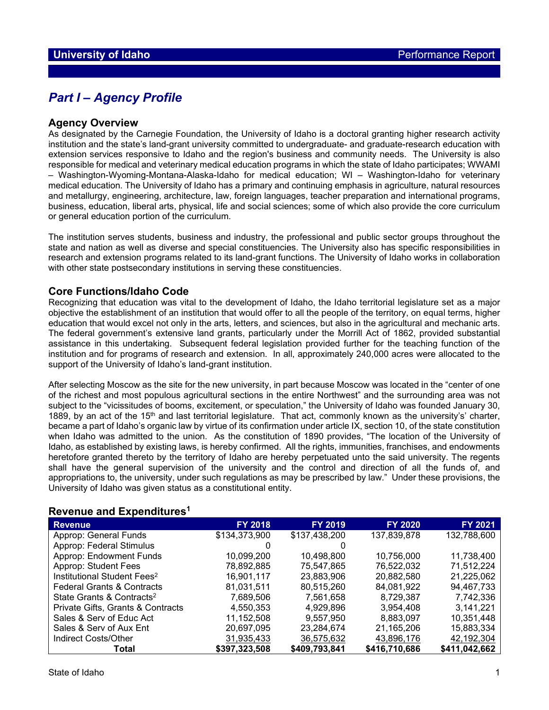## *Part I – Agency Profile*

## **Agency Overview**

As designated by the Carnegie Foundation, the University of Idaho is a doctoral granting higher research activity institution and the state's land-grant university committed to undergraduate- and graduate-research education with extension services responsive to Idaho and the region's business and community needs. The University is also responsible for medical and veterinary medical education programs in which the state of Idaho participates; WWAMI – Washington-Wyoming-Montana-Alaska-Idaho for medical education; WI – Washington-Idaho for veterinary medical education. The University of Idaho has a primary and continuing emphasis in agriculture, natural resources and metallurgy, engineering, architecture, law, foreign languages, teacher preparation and international programs, business, education, liberal arts, physical, life and social sciences; some of which also provide the core curriculum or general education portion of the curriculum.

The institution serves students, business and industry, the professional and public sector groups throughout the state and nation as well as diverse and special constituencies. The University also has specific responsibilities in research and extension programs related to its land-grant functions. The University of Idaho works in collaboration with other state postsecondary institutions in serving these constituencies.

## **Core Functions/Idaho Code**

Recognizing that education was vital to the development of Idaho, the Idaho territorial legislature set as a major objective the establishment of an institution that would offer to all the people of the territory, on equal terms, higher education that would excel not only in the arts, letters, and sciences, but also in the agricultural and mechanic arts. The federal government's extensive land grants, particularly under the Morrill Act of 1862, provided substantial assistance in this undertaking. Subsequent federal legislation provided further for the teaching function of the institution and for programs of research and extension. In all, approximately 240,000 acres were allocated to the support of the University of Idaho's land-grant institution.

After selecting Moscow as the site for the new university, in part because Moscow was located in the "center of one of the richest and most populous agricultural sections in the entire Northwest" and the surrounding area was not subject to the "vicissitudes of booms, excitement, or speculation," the University of Idaho was founded January 30, 1889, by an act of the 15<sup>th</sup> and last territorial legislature. That act, commonly known as the university's' charter, became a part of Idaho's organic law by virtue of its confirmation under article IX, section 10, of the state constitution when Idaho was admitted to the union. As the constitution of 1890 provides, "The location of the University of Idaho, as established by existing laws, is hereby confirmed. All the rights, immunities, franchises, and endowments heretofore granted thereto by the territory of Idaho are hereby perpetuated unto the said university. The regents shall have the general supervision of the university and the control and direction of all the funds of, and appropriations to, the university, under such regulations as may be prescribed by law." Under these provisions, the University of Idaho was given status as a constitutional entity.

## **Revenue and Expenditures1**

| <b>Revenue</b>                          | <b>FY 2018</b> | <b>FY 2019</b> | <b>FY 2020</b> | <b>FY 2021</b> |
|-----------------------------------------|----------------|----------------|----------------|----------------|
| Approp: General Funds                   | \$134,373,900  | \$137,438,200  | 137,839,878    | 132,788,600    |
| Approp: Federal Stimulus                |                |                |                |                |
| Approp: Endowment Funds                 | 10,099,200     | 10,498,800     | 10,756,000     | 11,738,400     |
| Approp: Student Fees                    | 78,892,885     | 75,547,865     | 76,522,032     | 71,512,224     |
| Institutional Student Fees <sup>2</sup> | 16,901,117     | 23,883,906     | 20,882,580     | 21,225,062     |
| <b>Federal Grants &amp; Contracts</b>   | 81.031.511     | 80,515,260     | 84.081.922     | 94,467,733     |
| State Grants & Contracts <sup>2</sup>   | 7.689.506      | 7,561,658      | 8.729.387      | 7.742.336      |
| Private Gifts, Grants & Contracts       | 4.550.353      | 4.929.896      | 3,954,408      | 3.141.221      |
| Sales & Serv of Educ Act                | 11,152,508     | 9,557,950      | 8,883,097      | 10,351,448     |
| Sales & Serv of Aux Ent                 | 20,697,095     | 23,284,674     | 21,165,206     | 15,883,334     |
| Indirect Costs/Other                    | 31,935,433     | 36,575,632     | 43,896,176     | 42,192,304     |
| Total                                   | \$397,323,508  | \$409,793,841  | \$416,710,686  | \$411,042,662  |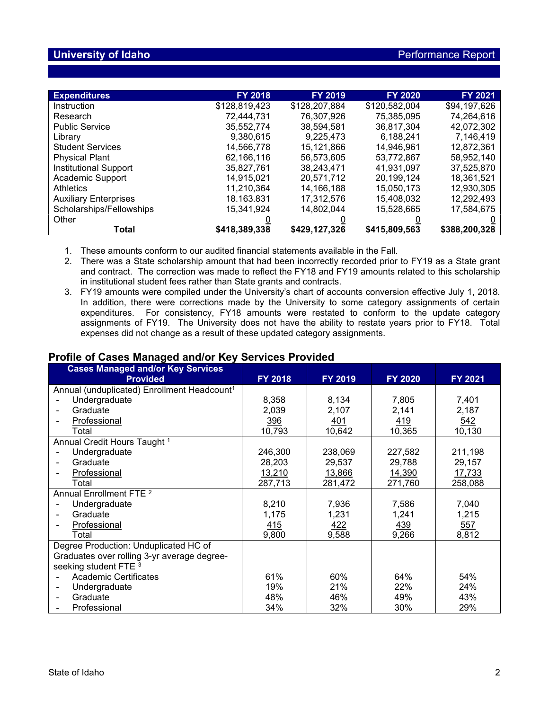| <b>Expenditures</b>          | <b>FY 2018</b> | <b>FY 2019</b> | <b>FY 2020</b> | <b>FY 2021</b> |
|------------------------------|----------------|----------------|----------------|----------------|
| Instruction                  | \$128,819,423  | \$128,207,884  | \$120,582,004  | \$94,197,626   |
| Research                     | 72,444,731     | 76,307,926     | 75.385.095     | 74,264,616     |
| <b>Public Service</b>        | 35,552,774     | 38,594,581     | 36,817,304     | 42,072,302     |
| Library                      | 9,380,615      | 9,225,473      | 6,188,241      | 7,146,419      |
| <b>Student Services</b>      | 14,566,778     | 15,121,866     | 14,946,961     | 12,872,361     |
| <b>Physical Plant</b>        | 62,166,116     | 56.573.605     | 53,772,867     | 58,952,140     |
| <b>Institutional Support</b> | 35,827,761     | 38,243,471     | 41,931,097     | 37,525,870     |
| Academic Support             | 14.915.021     | 20,571,712     | 20,199,124     | 18,361,521     |
| <b>Athletics</b>             | 11,210,364     | 14,166,188     | 15,050,173     | 12,930,305     |
| <b>Auxiliary Enterprises</b> | 18.163.831     | 17,312,576     | 15,408,032     | 12,292,493     |
| Scholarships/Fellowships     | 15.341.924     | 14.802.044     | 15,528,665     | 17,584,675     |
| Other                        |                |                |                |                |
| Total                        | \$418,389,338  | \$429.127.326  | \$415,809,563  | \$388,200,328  |

1. These amounts conform to our audited financial statements available in the Fall.

- 2. There was a State scholarship amount that had been incorrectly recorded prior to FY19 as a State grant and contract. The correction was made to reflect the FY18 and FY19 amounts related to this scholarship in institutional student fees rather than State grants and contracts.
- 3. FY19 amounts were compiled under the University's chart of accounts conversion effective July 1, 2018. In addition, there were corrections made by the University to some category assignments of certain expenditures. For consistency, FY18 amounts were restated to conform to the update category assignments of FY19. The University does not have the ability to restate years prior to FY18. Total expenses did not change as a result of these updated category assignments.

## **Profile of Cases Managed and/or Key Services Provided**

| <b>Cases Managed and/or Key Services</b><br><b>Provided</b> | <b>FY 2018</b> | FY 2019 | FY 2020    | FY 2021 |
|-------------------------------------------------------------|----------------|---------|------------|---------|
| Annual (unduplicated) Enrollment Headcount <sup>1</sup>     |                |         |            |         |
| Undergraduate                                               | 8,358          | 8,134   | 7,805      | 7,401   |
| Graduate                                                    |                |         |            |         |
|                                                             | 2,039          | 2,107   | 2,141      | 2,187   |
| Professional                                                | 396            | 401     | <u>419</u> | 542     |
| Total                                                       | 10,793         | 10,642  | 10,365     | 10,130  |
| Annual Credit Hours Taught 1                                |                |         |            |         |
| Undergraduate                                               | 246,300        | 238,069 | 227,582    | 211,198 |
| Graduate<br>$\overline{\phantom{0}}$                        | 28,203         | 29,537  | 29,788     | 29,157  |
| Professional                                                | 13,210         | 13,866  | 14,390     | 17,733  |
| Total                                                       | 287,713        | 281,472 | 271,760    | 258,088 |
| Annual Enrollment FTE <sup>2</sup>                          |                |         |            |         |
| Undergraduate                                               | 8,210          | 7,936   | 7,586      | 7,040   |
| Graduate                                                    | 1,175          | 1,231   | 1,241      | 1,215   |
| Professional                                                | <u>415</u>     | 422     | 439        | 557     |
| Total                                                       | 9,800          | 9,588   | 9,266      | 8,812   |
| Degree Production: Unduplicated HC of                       |                |         |            |         |
| Graduates over rolling 3-yr average degree-                 |                |         |            |         |
| seeking student FTE 3                                       |                |         |            |         |
| <b>Academic Certificates</b>                                | 61%            | 60%     | 64%        | 54%     |
| Undergraduate<br>$\qquad \qquad \blacksquare$               | 19%            | 21%     | 22%        | 24%     |
| Graduate<br>$\blacksquare$                                  | 48%            | 46%     | 49%        | 43%     |
| Professional                                                | 34%            | 32%     | 30%        | 29%     |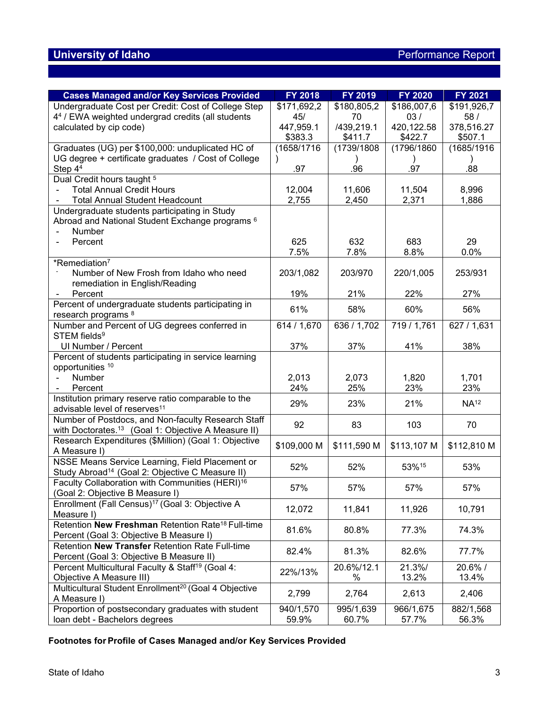| <b>Cases Managed and/or Key Services Provided</b>                                    | <b>FY 2018</b> | FY 2019     | <b>FY 2020</b> | <b>FY 2021</b>   |
|--------------------------------------------------------------------------------------|----------------|-------------|----------------|------------------|
| Undergraduate Cost per Credit: Cost of College Step                                  | \$171,692,2    | \$180,805,2 | \$186,007,6    | \$191,926,7      |
| 44 / EWA weighted undergrad credits (all students                                    | 45/            | 70          | 03/            | 58/              |
| calculated by cip code)                                                              | 447,959.1      | /439,219.1  | 420,122.58     | 378,516.27       |
|                                                                                      | \$383.3        | \$411.7     | \$422.7        | \$507.1          |
| Graduates (UG) per \$100,000: unduplicated HC of                                     | (1658/1716     | (1739/1808  | (1796/1860)    | (1685/1916       |
| UG degree + certificate graduates / Cost of College                                  |                |             |                |                  |
| Step $44$                                                                            | .97            | .96         | .97            | .88              |
| Dual Credit hours taught <sup>5</sup>                                                |                |             |                |                  |
| <b>Total Annual Credit Hours</b>                                                     | 12,004         | 11,606      | 11,504         | 8,996            |
| <b>Total Annual Student Headcount</b>                                                | 2,755          | 2,450       | 2,371          | 1,886            |
| Undergraduate students participating in Study                                        |                |             |                |                  |
| Abroad and National Student Exchange programs <sup>6</sup>                           |                |             |                |                  |
| Number                                                                               |                |             |                |                  |
| Percent                                                                              | 625            | 632         | 683            | 29               |
|                                                                                      | 7.5%           | 7.8%        | 8.8%           | 0.0%             |
| *Remediation <sup>7</sup>                                                            |                |             |                |                  |
| Number of New Frosh from Idaho who need                                              | 203/1,082      | 203/970     | 220/1,005      | 253/931          |
| remediation in English/Reading                                                       |                |             |                |                  |
| Percent                                                                              | 19%            | 21%         | 22%            | 27%              |
| Percent of undergraduate students participating in<br>research programs <sup>8</sup> | 61%            | 58%         | 60%            | 56%              |
| Number and Percent of UG degrees conferred in                                        | 614 / 1,670    | 636 / 1,702 | 719 / 1,761    | 627 / 1,631      |
| STEM fields <sup>9</sup>                                                             |                |             |                |                  |
| UI Number / Percent                                                                  | 37%            | 37%         | 41%            | 38%              |
| Percent of students participating in service learning                                |                |             |                |                  |
| opportunities <sup>10</sup>                                                          |                |             |                |                  |
| Number                                                                               | 2,013          | 2,073       | 1,820          | 1,701            |
| Percent                                                                              | 24%            | 25%         | 23%            | 23%              |
| Institution primary reserve ratio comparable to the                                  |                |             |                |                  |
| advisable level of reserves <sup>11</sup>                                            | 29%            | 23%         | 21%            | NA <sup>12</sup> |
| Number of Postdocs, and Non-faculty Research Staff                                   |                |             |                |                  |
| with Doctorates. <sup>13</sup> (Goal 1: Objective A Measure II)                      | 92             | 83          | 103            | 70               |
| Research Expenditures (\$Million) (Goal 1: Objective                                 |                |             |                |                  |
| A Measure I)                                                                         | \$109,000 M    | \$111,590 M | \$113,107 M    | \$112,810 M      |
| NSSE Means Service Learning, Field Placement or                                      | 52%            | 52%         | 53%15          | 53%              |
| Study Abroad <sup>14</sup> (Goal 2: Objective C Measure II)                          |                |             |                |                  |
| Faculty Collaboration with Communities (HERI) <sup>16</sup>                          | 57%            | 57%         | 57%            | 57%              |
| (Goal 2: Objective B Measure I)                                                      |                |             |                |                  |
| Enrollment (Fall Census) <sup>17</sup> (Goal 3: Objective A                          | 12,072         | 11,841      | 11,926         | 10,791           |
| Measure I)                                                                           |                |             |                |                  |
| Retention New Freshman Retention Rate <sup>18</sup> Full-time                        | 81.6%          | 80.8%       | 77.3%          | 74.3%            |
| Percent (Goal 3: Objective B Measure I)                                              |                |             |                |                  |
| Retention New Transfer Retention Rate Full-time                                      | 82.4%          | 81.3%       | 82.6%          | 77.7%            |
| Percent (Goal 3: Objective B Measure II)                                             |                |             |                |                  |
| Percent Multicultural Faculty & Staff <sup>19</sup> (Goal 4:                         | 22%/13%        | 20.6%/12.1  | 21.3%/         | 20.6%/           |
| Objective A Measure III)                                                             |                | %           | 13.2%          | 13.4%            |
| Multicultural Student Enrollment <sup>20</sup> (Goal 4 Objective                     | 2,799          | 2,764       | 2,613          | 2,406            |
| A Measure I)                                                                         |                |             |                |                  |
| Proportion of postsecondary graduates with student                                   | 940/1,570      | 995/1,639   | 966/1,675      | 882/1,568        |
| loan debt - Bachelors degrees                                                        | 59.9%          | 60.7%       | 57.7%          | 56.3%            |

**Footnotes for Profile of Cases Managed and/or Key Services Provided**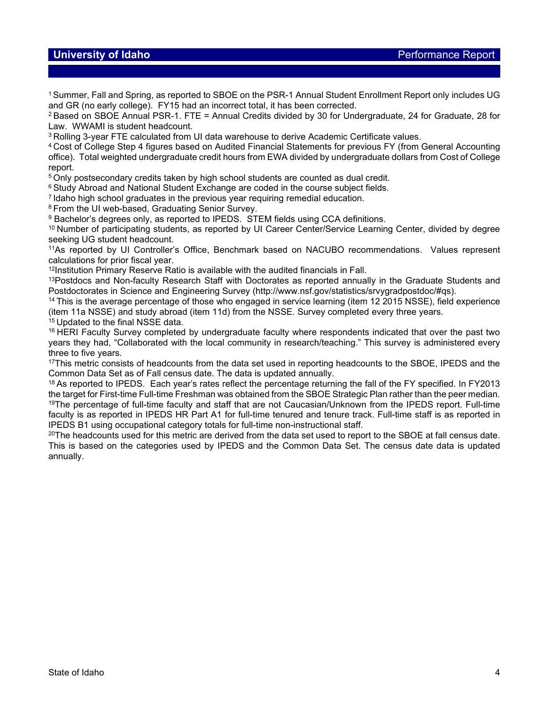## **University of Idaho Performance Report**

1Summer, Fall and Spring, as reported to SBOE on the PSR-1 Annual Student Enrollment Report only includes UG and GR (no early college). FY15 had an incorrect total, it has been corrected.

<sup>2</sup> Based on SBOE Annual PSR-1. FTE = Annual Credits divided by 30 for Undergraduate, 24 for Graduate, 28 for Law. WWAMI is student headcount.

<sup>3</sup> Rolling 3-year FTE calculated from UI data warehouse to derive Academic Certificate values.

<sup>4</sup> Cost of College Step 4 figures based on Audited Financial Statements for previous FY (from General Accounting office). Total weighted undergraduate credit hours from EWA divided by undergraduate dollars from Cost of College report.

<sup>5</sup> Only postsecondary credits taken by high school students are counted as dual credit.

<sup>6</sup> Study Abroad and National Student Exchange are coded in the course subject fields.

<sup>7</sup> Idaho high school graduates in the previous year requiring remedial education.<br><sup>8</sup> From the UI web-based, Graduating Senior Survey.

<sup>9</sup> Bachelor's degrees only, as reported to IPEDS. STEM fields using CCA definitions.

<sup>10</sup> Number of participating students, as reported by UI Career Center/Service Learning Center, divided by degree seeking UG student headcount.

11As reported by UI Controller's Office, Benchmark based on NACUBO recommendations. Values represent calculations for prior fiscal year.

12Institution Primary Reserve Ratio is available with the audited financials in Fall.

<sup>13</sup>Postdocs and Non-faculty Research Staff with Doctorates as reported annually in the Graduate Students and Postdoctorates in Science and Engineering Survey (http://www.nsf.gov/statistics/srvygradpostdoc/#qs).

<sup>14</sup> This is the average percentage of those who engaged in service learning (item 12 2015 NSSE), field experience (item 11a NSSE) and study abroad (item 11d) from the NSSE. Survey completed every three years.

<sup>15</sup> Updated to the final NSSE data.

<sup>16</sup> HERI Faculty Survey completed by undergraduate faculty where respondents indicated that over the past two years they had, "Collaborated with the local community in research/teaching." This survey is administered every three to five years.

<sup>17</sup>This metric consists of headcounts from the data set used in reporting headcounts to the SBOE, IPEDS and the Common Data Set as of Fall census date. The data is updated annually.

<sup>18</sup> As reported to IPEDS. Each year's rates reflect the percentage returning the fall of the FY specified. In FY2013 the target for First-time Full-time Freshman was obtained from the SBOE Strategic Plan rather than the peer median. 19The percentage of full-time faculty and staff that are not Caucasian/Unknown from the IPEDS report. Full-time faculty is as reported in IPEDS HR Part A1 for full-time tenured and tenure track. Full-time staff is as reported in IPEDS B1 using occupational category totals for full-time non-instructional staff.

 $20$ The headcounts used for this metric are derived from the data set used to report to the SBOE at fall census date. This is based on the categories used by IPEDS and the Common Data Set. The census date data is updated annually.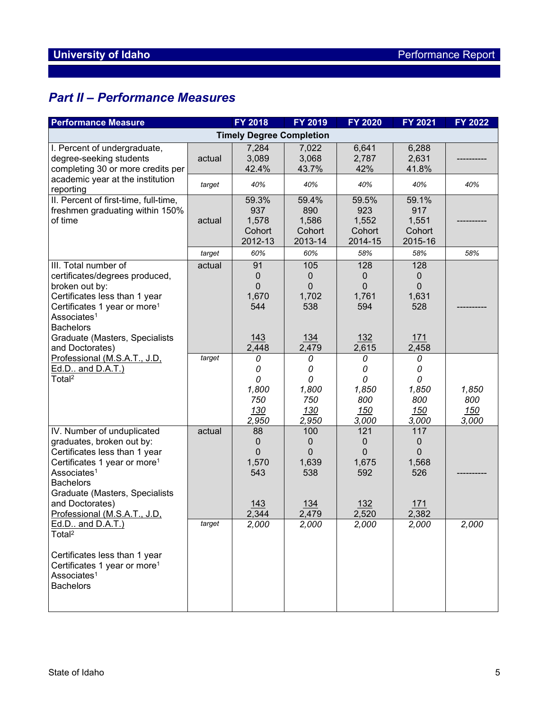# *Part II – Performance Measures*

| <b>Performance Measure</b>                                                                                                                                                                                                                                               |        | FY 2018                                            | FY 2019                                           | <b>FY 2020</b>                                | FY 2021                                       | <b>FY 2022</b>               |
|--------------------------------------------------------------------------------------------------------------------------------------------------------------------------------------------------------------------------------------------------------------------------|--------|----------------------------------------------------|---------------------------------------------------|-----------------------------------------------|-----------------------------------------------|------------------------------|
| <b>Timely Degree Completion</b>                                                                                                                                                                                                                                          |        |                                                    |                                                   |                                               |                                               |                              |
| I. Percent of undergraduate,<br>degree-seeking students<br>completing 30 or more credits per                                                                                                                                                                             | actual | 7,284<br>3,089<br>42.4%                            | 7,022<br>3,068<br>43.7%                           | 6,641<br>2,787<br>42%                         | 6,288<br>2,631<br>41.8%                       |                              |
| academic year at the institution<br>reporting                                                                                                                                                                                                                            | target | 40%                                                | 40%                                               | 40%                                           | 40%                                           | 40%                          |
| II. Percent of first-time, full-time,<br>freshmen graduating within 150%<br>of time                                                                                                                                                                                      | actual | 59.3%<br>937<br>1,578<br>Cohort<br>2012-13         | 59.4%<br>890<br>1,586<br>Cohort<br>2013-14        | 59.5%<br>923<br>1,552<br>Cohort<br>2014-15    | 59.1%<br>917<br>1,551<br>Cohort<br>2015-16    |                              |
|                                                                                                                                                                                                                                                                          | target | 60%                                                | 60%                                               | 58%                                           | 58%                                           | 58%                          |
| III. Total number of<br>certificates/degrees produced,<br>broken out by:<br>Certificates less than 1 year<br>Certificates 1 year or more <sup>1</sup><br>Associates <sup>1</sup><br><b>Bachelors</b>                                                                     | actual | 91<br>$\mathbf 0$<br>$\mathbf 0$<br>1,670<br>544   | 105<br>$\mathbf 0$<br>$\mathbf 0$<br>1,702<br>538 | 128<br>0<br>$\mathbf{0}$<br>1,761<br>594      | 128<br>0<br>$\mathbf 0$<br>1,631<br>528       |                              |
| Graduate (Masters, Specialists                                                                                                                                                                                                                                           |        | 143                                                | <u>134</u>                                        | <u>132</u>                                    | 171                                           |                              |
| and Doctorates)                                                                                                                                                                                                                                                          |        | 2,448                                              | 2,479                                             | 2,615                                         | 2,458                                         |                              |
| Professional (M.S.A.T., J.D.<br>Ed.D., and D.A.T.)<br>Total <sup>2</sup>                                                                                                                                                                                                 | target | 0<br>0<br>$\Omega$<br>1,800<br>750<br>130<br>2,950 | 0<br>0<br>0<br>1,800<br>750<br>130<br>2,950       | 0<br>0<br>0<br>1,850<br>800<br>150<br>3,000   | 0<br>0<br>0<br>1,850<br>800<br>150<br>3,000   | 1,850<br>800<br>150<br>3,000 |
| IV. Number of unduplicated<br>graduates, broken out by:<br>Certificates less than 1 year<br>Certificates 1 year or more <sup>1</sup><br>Associates <sup>1</sup><br><b>Bachelors</b><br>Graduate (Masters, Specialists<br>and Doctorates)<br>Professional (M.S.A.T., J.D. | actual | 88<br>0<br>0<br>1,570<br>543<br>143<br>2,344       | 100<br>0<br>0<br>1,639<br>538<br>134<br>2,479     | 121<br>0<br>0<br>1,675<br>592<br>132<br>2,520 | 117<br>0<br>0<br>1,568<br>526<br>171<br>2,382 |                              |
| Ed.D., and D.A.T.)<br>Total <sup>2</sup><br>Certificates less than 1 year<br>Certificates 1 year or more <sup>1</sup><br>Associates <sup>1</sup><br><b>Bachelors</b>                                                                                                     | target | 2,000                                              | 2,000                                             | 2,000                                         | 2,000                                         | 2,000                        |